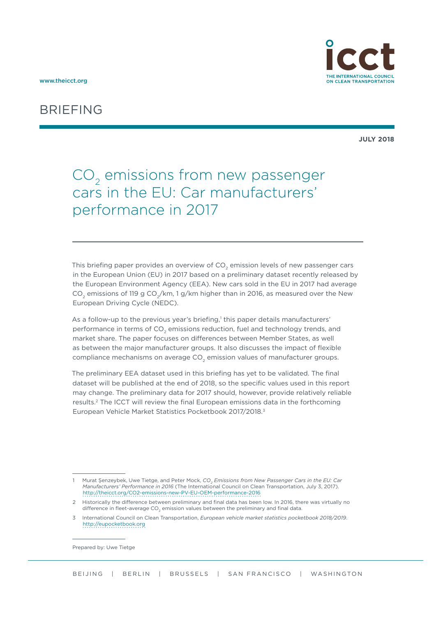



ON CLEAN TRANSPORTATION

**JULY 2018**

# $CO<sub>2</sub>$  emissions from new passenger cars in the EU: Car manufacturers' performance in 2017

This briefing paper provides an overview of  $CO<sub>2</sub>$  emission levels of new passenger cars in the European Union (EU) in 2017 based on a preliminary dataset recently released by the European Environment Agency (EEA). New cars sold in the EU in 2017 had average CO<sub>2</sub> emissions of 119 g CO<sub>2</sub>/km, 1 g/km higher than in 2016, as measured over the New European Driving Cycle (NEDC).

As a follow-up to the previous year's briefing,<sup>1</sup> this paper details manufacturers' performance in terms of CO<sub>2</sub> emissions reduction, fuel and technology trends, and market share. The paper focuses on differences between Member States, as well as between the major manufacturer groups. It also discusses the impact of flexible compliance mechanisms on average CO<sub>2</sub> emission values of manufacturer groups.

The preliminary EEA dataset used in this briefing has yet to be validated. The final dataset will be published at the end of 2018, so the specific values used in this report may change. The preliminary data for 2017 should, however, provide relatively reliable results.2 The ICCT will review the final European emissions data in the forthcoming European Vehicle Market Statistics Pocketbook 2017/2018.3

Prepared by: Uwe Tietge

<sup>1</sup> Murat Şenzeybek, Uwe Tietge, and Peter Mock, *CO<sub>2</sub> Emissions from New Passenger Cars in the EU: Car Manufacturers' Performance in 2016* (The International Council on Clean Transportation, July 3, 2017). <http://theicct.org/CO2-emissions-new-PV-EU-OEM-performance-2016>

<sup>2</sup> Historically the difference between preliminary and final data has been low. In 2016, there was virtually no difference in fleet-average  $CO<sub>2</sub>$  emission values between the preliminary and final data.

<sup>3</sup> International Council on Clean Transportation, *European vehicle market statistics pocketbook 2018/2019*. <http://eupocketbook.org>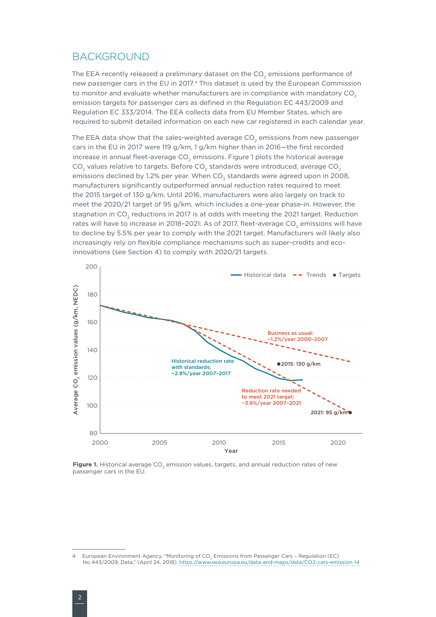#### BACKGROUND

The EEA recently released a preliminary dataset on the  $CO<sub>2</sub>$  emissions performance of new passenger cars in the EU in 2017.<sup>4</sup> This dataset is used by the European Commission to monitor and evaluate whether manufacturers are in compliance with mandatory  $CO<sub>2</sub>$ emission targets for passenger cars as defined in the Regulation EC 443/2009 and Regulation EC 333/2014. The EEA collects data from EU Member States, which are required to submit detailed information on each new car registered in each calendar year.

The EEA data show that the sales-weighted average  $CO_2$  emissions from new passenger cars in the EU in 2017 were 119 g/km, 1 g/km higher than in 2016—the first recorded increase in annual fleet-average CO<sub>2</sub> emissions. [Figure 1](#page-1-0) plots the historical average  $CO<sub>2</sub>$  values relative to targets. Before  $CO<sub>2</sub>$  standards were introduced, average  $CO<sub>2</sub>$ emissions declined by 1.2% per year. When CO<sub>2</sub> standards were agreed upon in 2008, manufacturers significantly outperformed annual reduction rates required to meet the 2015 target of 130 g/km. Until 2016, manufacturers were also largely on track to meet the 2020/21 target of 95 g/km, which includes a one-year phase-in. However, the stagnation in  $CO<sub>2</sub>$  reductions in 2017 is at odds with meeting the 2021 target. Reduction rates will have to increase in 2018-2021: As of 2017, fleet-average CO<sub>2</sub> emissions will have to decline by 5.5% per year to comply with the 2021 target. Manufacturers will likely also increasingly rely on flexible compliance mechanisms such as super-credits and ecoinnovations (see Section [4](#page-7-0)) to comply with 2020/21 targets.



<span id="page-1-0"></span>Figure 1. Historical average CO<sub>2</sub> emission values, targets, and annual reduction rates of new passenger cars in the EU.

<sup>4</sup> European Environment Agency, "Monitoring of  $CO_2$  Emissions from Passenger Cars - Regulation (EC) No 443/2009, Data," (April 24, 2018). <https://www.eea.europa.eu/data-and-maps/data/CO2-cars-emission-14>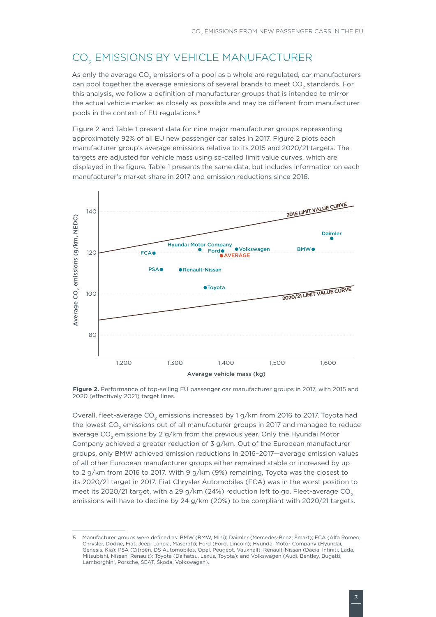## <span id="page-2-1"></span>CO<sub>2</sub> EMISSIONS BY VEHICLE MANUFACTURER

As only the average  $CO<sub>2</sub>$  emissions of a pool as a whole are regulated, car manufacturers can pool together the average emissions of several brands to meet CO<sub>2</sub> standards. For this analysis, we follow a definition of manufacturer groups that is intended to mirror the actual vehicle market as closely as possible and may be different from manufacturer pools in the context of EU regulations.5

[Figure 2](#page-2-0) and [Table](#page-3-0) 1 present data for nine major manufacturer groups representing approximately 92% of all EU new passenger car sales in 2017. [Figure](#page-2-0) 2 plots each manufacturer group's average emissions relative to its 2015 and 2020/21 targets. The targets are adjusted for vehicle mass using so-called limit value curves, which are displayed in the figure. [Table](#page-3-0) 1 presents the same data, but includes information on each manufacturer's market share in 2017 and emission reductions since 2016.



<span id="page-2-0"></span>Figure 2. Performance of top-selling EU passenger car manufacturer groups in 2017, with 2015 and 2020 (effectively 2021) target lines.

Overall, fleet-average CO<sub>2</sub> emissions increased by 1 g/km from 2016 to 2017. Toyota had the lowest CO<sub>2</sub> emissions out of all manufacturer groups in 2017 and managed to reduce average  $CO<sub>2</sub>$  emissions by 2 g/km from the previous year. Only the Hyundai Motor Company achieved a greater reduction of 3 g/km. Out of the European manufacturer groups, only BMW achieved emission reductions in 2016–2017—average emission values of all other European manufacturer groups either remained stable or increased by up to 2 g/km from 2016 to 2017. With 9 g/km (9%) remaining, Toyota was the closest to its 2020/21 target in 2017. Fiat Chrysler Automobiles (FCA) was in the worst position to meet its 2020/21 target, with a 29  $g/km$  (24%) reduction left to go. Fleet-average CO<sub>2</sub> emissions will have to decline by 24 g/km (20%) to be compliant with 2020/21 targets.

<sup>5</sup> Manufacturer groups were defined as: BMW (BMW, Mini); Daimler (Mercedes-Benz, Smart); FCA (Alfa Romeo, Chrysler, Dodge, Fiat, Jeep, Lancia, Maserati); Ford (Ford, Lincoln); Hyundai Motor Company (Hyundai, Genesis, Kia); PSA (Citroën, DS Automobiles, Opel, Peugeot, Vauxhall); Renault-Nissan (Dacia, Infiniti, Lada, Mitsubishi, Nissan, Renault); Toyota (Daihatsu, Lexus, Toyota); and Volkswagen (Audi, Bentley, Bugatti, Lamborghini, Porsche, SEAT, Škoda, Volkswagen).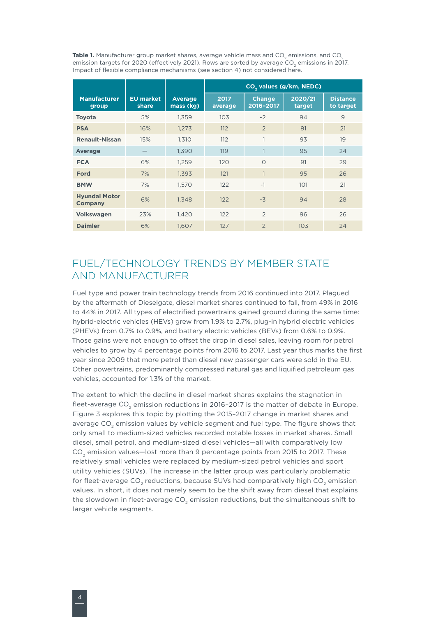<span id="page-3-0"></span>Table 1. Manufacturer group market shares, average vehicle mass and CO<sub>2</sub> emissions, and CO<sub>2</sub> emission targets for 2020 (effectively 2021). Rows are sorted by average CO<sub>2</sub> emissions in 2017. Impact of flexible compliance mechanisms (see section [4\)](#page-7-0) not considered here.

|                                 |                           |                             | CO <sub>2</sub> values (g/km, NEDC) |                            |                   |                              |  |
|---------------------------------|---------------------------|-----------------------------|-------------------------------------|----------------------------|-------------------|------------------------------|--|
| <b>Manufacturer</b><br>group    | <b>EU market</b><br>share | <b>Average</b><br>mass (kg) | 2017<br>average                     | <b>Change</b><br>2016-2017 | 2020/21<br>target | <b>Distance</b><br>to target |  |
| <b>Toyota</b>                   | 5%                        | 1.359                       | 10 <sub>3</sub>                     | $-2$                       | 94                | 9                            |  |
| <b>PSA</b>                      | 16%                       | 1,273                       | 112                                 | $\overline{2}$             | 91                | 21                           |  |
| <b>Renault-Nissan</b>           | 15%                       | 1.310                       | 112                                 | 1                          | 93                | 19                           |  |
| <b>Average</b>                  |                           | 1,390                       | 119                                 |                            | 95                | 24                           |  |
| <b>FCA</b>                      | 6%                        | 1,259                       | 120                                 | $\Omega$                   | 91                | 29                           |  |
| <b>Ford</b>                     | 7%                        | 1,393                       | 121                                 | $\mathbf{1}$               | 95                | 26                           |  |
| <b>BMW</b>                      | 7%                        | 1,570                       | 122                                 | $-1$                       | 101               | 21                           |  |
| <b>Hyundai Motor</b><br>Company | 6%                        | 1.348                       | 122                                 | $-3$                       | 94                | 28                           |  |
| <b>Volkswagen</b>               | 23%                       | 1,420                       | 122                                 | $\overline{2}$             | 96                | 26                           |  |
| <b>Daimler</b>                  | 6%                        | 1.607                       | 127                                 | $\mathcal{P}$              | 10 <sub>3</sub>   | 24                           |  |

## FUEL/TECHNOLOGY TRENDS BY MEMBER STATE AND MANUFACTURER

Fuel type and power train technology trends from 2016 continued into 2017. Plagued by the aftermath of Dieselgate, diesel market shares continued to fall, from 49% in 2016 to 44% in 2017. All types of electrified powertrains gained ground during the same time: hybrid-electric vehicles (HEVs) grew from 1.9% to 2.7%, plug-in hybrid electric vehicles (PHEVs) from 0.7% to 0.9%, and battery electric vehicles (BEVs) from 0.6% to 0.9%. Those gains were not enough to offset the drop in diesel sales, leaving room for petrol vehicles to grow by 4 percentage points from 2016 to 2017. Last year thus marks the first year since 2009 that more petrol than diesel new passenger cars were sold in the EU. Other powertrains, predominantly compressed natural gas and liquified petroleum gas vehicles, accounted for 1.3% of the market.

The extent to which the decline in diesel market shares explains the stagnation in fleet-average CO<sub>2</sub> emission reductions in 2016-2017 is the matter of debate in Europe. [Figure](#page-4-0) 3 explores this topic by plotting the 2015–2017 change in market shares and average CO<sub>2</sub> emission values by vehicle segment and fuel type. The figure shows that only small to medium-sized vehicles recorded notable losses in market shares. Small diesel, small petrol, and medium-sized diesel vehicles—all with comparatively low CO<sub>2</sub> emission values—lost more than 9 percentage points from 2015 to 2017. These relatively small vehicles were replaced by medium-sized petrol vehicles and sport utility vehicles (SUVs). The increase in the latter group was particularly problematic for fleet-average CO<sub>2</sub> reductions, because SUVs had comparatively high CO<sub>2</sub> emission values. In short, it does not merely seem to be the shift away from diesel that explains the slowdown in fleet-average CO<sub>2</sub> emission reductions, but the simultaneous shift to larger vehicle segments.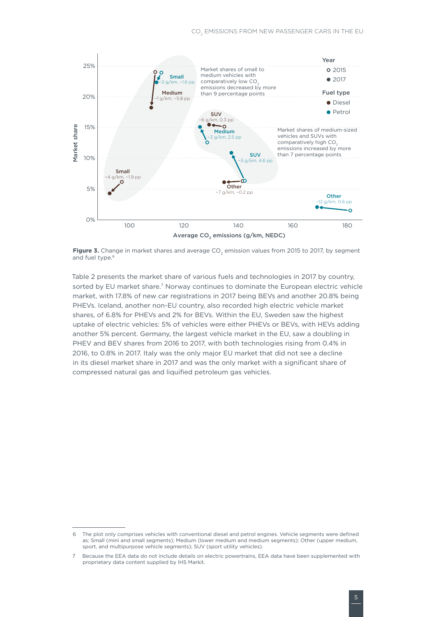

<span id="page-4-0"></span>Figure 3. Change in market shares and average CO<sub>2</sub> emission values from 2015 to 2017, by segment and fuel type. $6$ 

[Table](#page-5-0) 2 presents the market share of various fuels and technologies in 2017 by country, sorted by EU market share.<sup>7</sup> Norway continues to dominate the European electric vehicle market, with 17.8% of new car registrations in 2017 being BEVs and another 20.8% being PHEVs. Iceland, another non-EU country, also recorded high electric vehicle market shares, of 6.8% for PHEVs and 2% for BEVs. Within the EU, Sweden saw the highest uptake of electric vehicles: 5% of vehicles were either PHEVs or BEVs, with HEVs adding another 5% percent. Germany, the largest vehicle market in the EU, saw a doubling in PHEV and BEV shares from 2016 to 2017, with both technologies rising from 0.4% in 2016, to 0.8% in 2017. Italy was the only major EU market that did not see a decline in its diesel market share in 2017 and was the only market with a significant share of compressed natural gas and liquified petroleum gas vehicles.

<sup>6</sup> The plot only comprises vehicles with conventional diesel and petrol engines. Vehicle segments were defined as: Small (mini and small segments); Medium (lower medium and medium segments); Other (upper medium, sport, and multipurpose vehicle segments); SUV (sport utility vehicles).

<sup>7</sup> Because the EEA data do not include details on electric powertrains, EEA data have been supplemented with proprietary data content supplied by IHS Markit.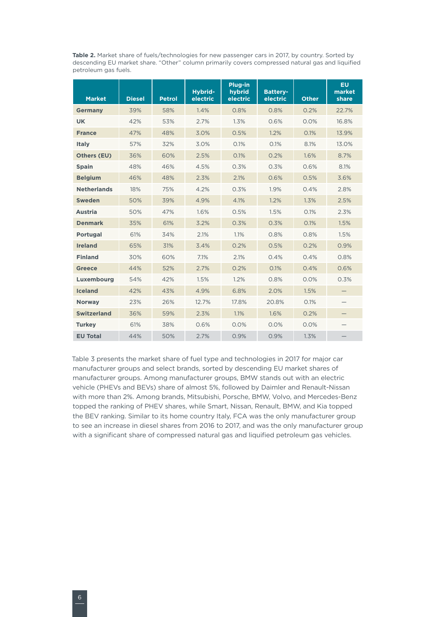<span id="page-5-0"></span>Table 2. Market share of fuels/technologies for new passenger cars in 2017, by country. Sorted by descending EU market share. "Other" column primarily covers compressed natural gas and liquified petroleum gas fuels.

| <b>Market</b>      | <b>Diesel</b> | <b>Petrol</b> | Hybrid-<br>electric | Plug-in<br>hybrid<br>electric | <b>Battery-</b><br>electric | <b>Other</b> | <b>EU</b><br>market<br>share |
|--------------------|---------------|---------------|---------------------|-------------------------------|-----------------------------|--------------|------------------------------|
| <b>Germany</b>     | 39%           | 58%           | 1.4%                | 0.8%                          | 0.8%                        | 0.2%         | 22.7%                        |
| <b>UK</b>          | 42%           | 53%           | 2.7%                | 1.3%                          | 0.6%                        | 0.0%         | 16.8%                        |
| <b>France</b>      | 47%           | 48%           | 3.0%                | 0.5%                          | 1.2%                        | 0.1%         | 13.9%                        |
| <b>Italy</b>       | 57%           | 32%           | 3.0%                | 0.1%                          | 0.1%                        | 8.1%         | 13.0%                        |
| <b>Others (EU)</b> | 36%           | 60%           | 2.5%                | 0.1%                          | 0.2%                        | 1.6%         | 8.7%                         |
| <b>Spain</b>       | 48%           | 46%           | 4.5%                | 0.3%                          | 0.3%                        | 0.6%         | 8.1%                         |
| <b>Belgium</b>     | 46%           | 48%           | 2.3%                | 2.1%                          | 0.6%                        | 0.5%         | 3.6%                         |
| <b>Netherlands</b> | 18%           | 75%           | 4.2%                | 0.3%                          | 1.9%                        | 0.4%         | 2.8%                         |
| <b>Sweden</b>      | 50%           | 39%           | 4.9%                | 4.1%                          | 1.2%                        | 1.3%         | 2.5%                         |
| <b>Austria</b>     | 50%           | 47%           | 1.6%                | 0.5%                          | 1.5%                        | 0.1%         | 2.3%                         |
| <b>Denmark</b>     | 35%           | 61%           | 3.2%                | 0.3%                          | 0.3%                        | 0.1%         | 1.5%                         |
| <b>Portugal</b>    | 61%           | 34%           | 2.1%                | 1.1%                          | 0.8%                        | 0.8%         | 1.5%                         |
| <b>Ireland</b>     | 65%           | 31%           | 3.4%                | 0.2%                          | 0.5%                        | 0.2%         | 0.9%                         |
| <b>Finland</b>     | 30%           | 60%           | 7.1%                | 2.1%                          | 0.4%                        | 0.4%         | 0.8%                         |
| <b>Greece</b>      | 44%           | 52%           | 2.7%                | 0.2%                          | 0.1%                        | 0.4%         | 0.6%                         |
| Luxembourg         | 54%           | 42%           | 1.5%                | 1.2%                          | 0.8%                        | 0.0%         | 0.3%                         |
| <b>Iceland</b>     | 42%           | 43%           | 4.9%                | 6.8%                          | 2.0%                        | 1.5%         |                              |
| <b>Norway</b>      | 23%           | 26%           | 12.7%               | 17.8%                         | 20.8%                       | 0.1%         |                              |
| <b>Switzerland</b> | 36%           | 59%           | 2.3%                | 1.1%                          | 1.6%                        | 0.2%         |                              |
| <b>Turkey</b>      | 61%           | 38%           | 0.6%                | 0.0%                          | 0.0%                        | 0.0%         |                              |
| <b>EU Total</b>    | 44%           | 50%           | 2.7%                | 0.9%                          | 0.9%                        | 1.3%         |                              |

[Table 3](#page-6-0) presents the market share of fuel type and technologies in 2017 for major car manufacturer groups and select brands, sorted by descending EU market shares of manufacturer groups. Among manufacturer groups, BMW stands out with an electric vehicle (PHEVs and BEVs) share of almost 5%, followed by Daimler and Renault-Nissan with more than 2%. Among brands, Mitsubishi, Porsche, BMW, Volvo, and Mercedes-Benz topped the ranking of PHEV shares, while Smart, Nissan, Renault, BMW, and Kia topped the BEV ranking. Similar to its home country Italy, FCA was the only manufacturer group to see an increase in diesel shares from 2016 to 2017, and was the only manufacturer group with a significant share of compressed natural gas and liquified petroleum gas vehicles.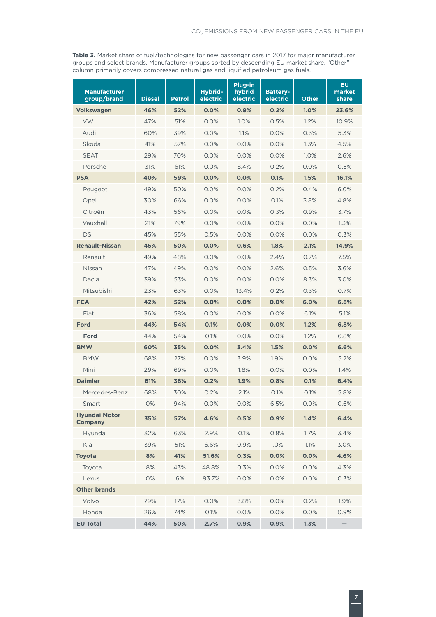<span id="page-6-0"></span>**Table 3.** Market share of fuel/technologies for new passenger cars in 2017 for major manufacturer groups and select brands. Manufacturer groups sorted by descending EU market share. "Other" column primarily covers compressed natural gas and liquified petroleum gas fuels.

| <b>Manufacturer</b><br>group/brand     | <b>Diesel</b> | <b>Petrol</b> | Hybrid-<br>electric | Plug-in<br>hybrid<br>electric | <b>Battery-</b><br>electric | <b>Other</b> | EU<br>market<br>share |
|----------------------------------------|---------------|---------------|---------------------|-------------------------------|-----------------------------|--------------|-----------------------|
| <b>Volkswagen</b>                      | 46%           | 52%           | 0.0%                | 0.9%                          | 0.2%                        | 1.0%         | 23.6%                 |
| <b>VW</b>                              | 47%           | 51%           | 0.0%                | 1.0%                          | 0.5%                        | 1.2%         | 10.9%                 |
| Audi                                   | 60%           | 39%           | 0.0%                | 1.1%                          | 0.0%                        | 0.3%         | 5.3%                  |
| Škoda                                  | 41%           | 57%           | 0.0%                | 0.0%                          | 0.0%                        | 1.3%         | 4.5%                  |
| <b>SEAT</b>                            | 29%           | 70%           | 0.0%                | 0.0%                          | 0.0%                        | 1.0%         | 2.6%                  |
| Porsche                                | 31%           | 61%           | 0.0%                | 8.4%                          | 0.2%                        | 0.0%         | 0.5%                  |
| <b>PSA</b>                             | 40%           | 59%           | 0.0%                | 0.0%                          | 0.1%                        | 1.5%         | 16.1%                 |
| Peugeot                                | 49%           | 50%           | 0.0%                | 0.0%                          | 0.2%                        | 0.4%         | 6.0%                  |
| Opel                                   | 30%           | 66%           | 0.0%                | 0.0%                          | 0.1%                        | 3.8%         | 4.8%                  |
| Citroën                                | 43%           | 56%           | 0.0%                | 0.0%                          | 0.3%                        | 0.9%         | 3.7%                  |
| Vauxhall                               | 21%           | 79%           | 0.0%                | 0.0%                          | 0.0%                        | $0.0\%$      | 1.3%                  |
| DS                                     | 45%           | 55%           | 0.5%                | 0.0%                          | $0.0\%$                     | $0.0\%$      | 0.3%                  |
| <b>Renault-Nissan</b>                  | 45%           | 50%           | 0.0%                | 0.6%                          | 1.8%                        | 2.1%         | 14.9%                 |
| Renault                                | 49%           | 48%           | 0.0%                | 0.0%                          | 2.4%                        | 0.7%         | 7.5%                  |
| Nissan                                 | 47%           | 49%           | 0.0%                | 0.0%                          | 2.6%                        | 0.5%         | 3.6%                  |
| Dacia                                  | 39%           | 53%           | 0.0%                | 0.0%                          | $0.0\%$                     | 8.3%         | 3.0%                  |
| Mitsubishi                             | 23%           | 63%           | 0.0%                | 13.4%                         | 0.2%                        | 0.3%         | 0.7%                  |
| <b>FCA</b>                             | 42%           | 52%           | 0.0%                | 0.0%                          | 0.0%                        | 6.0%         | 6.8%                  |
| Fiat                                   | 36%           | 58%           | 0.0%                | 0.0%                          | 0.0%                        | 6.1%         | 5.1%                  |
| Ford                                   | 44%           | 54%           | 0.1%                | 0.0%                          | 0.0%                        | 1.2%         | 6.8%                  |
| Ford                                   | 44%           | 54%           | 0.1%                | 0.0%                          | $0.0\%$                     | 1.2%         | 6.8%                  |
| <b>BMW</b>                             | 60%           | 35%           | $0.0\%$             | 3.4%                          | 1.5%                        | 0.0%         | 6.6%                  |
| <b>BMW</b>                             | 68%           | 27%           | 0.0%                | 3.9%                          | 1.9%                        | 0.0%         | 5.2%                  |
| Mini                                   | 29%           | 69%           | 0.0%                | 1.8%                          | $0.0\%$                     | $0.0\%$      | 1.4%                  |
| <b>Daimler</b>                         | 61%           | 36%           | 0.2%                | 1.9%                          | 0.8%                        | 0.1%         | 6.4%                  |
| Mercedes-Benz                          | 68%           | 30%           | 0.2%                | 2.1%                          | 0.1%                        | 0.1%         | 5.8%                  |
| Smart                                  | 0%            | 94%           | 0.0%                | 0.0%                          | 6.5%                        | 0.0%         | 0.6%                  |
| <b>Hyundai Motor</b><br><b>Company</b> | 35%           | 57%           | 4.6%                | 0.5%                          | 0.9%                        | 1.4%         | 6.4%                  |
| Hyundai                                | 32%           | 63%           | 2.9%                | 0.1%                          | 0.8%                        | 1.7%         | 3.4%                  |
| Kia                                    | 39%           | 51%           | 6.6%                | 0.9%                          | 1.0%                        | 1.1%         | 3.0%                  |
| <b>Toyota</b>                          | 8%            | 41%           | 51.6%               | 0.3%                          | 0.0%                        | 0.0%         | 4.6%                  |
| Toyota                                 | 8%            | 43%           | 48.8%               | 0.3%                          | 0.0%                        | 0.0%         | 4.3%                  |
| Lexus                                  | 0%            | 6%            | 93.7%               | 0.0%                          | 0.0%                        | 0.0%         | 0.3%                  |
| <b>Other brands</b>                    |               |               |                     |                               |                             |              |                       |
| Volvo                                  | 79%           | 17%           | 0.0%                | 3.8%                          | 0.0%                        | 0.2%         | 1.9%                  |
| Honda                                  | 26%           | 74%           | 0.1%                | 0.0%                          | 0.0%                        | 0.0%         | 0.9%                  |
| <b>EU Total</b>                        | 44%           | 50%           | 2.7%                | 0.9%                          | 0.9%                        | 1.3%         |                       |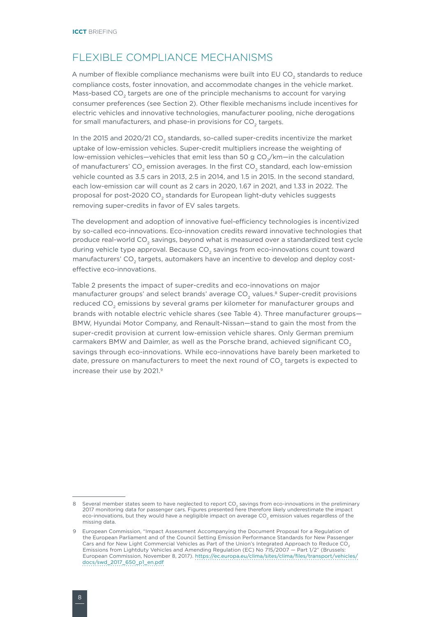#### <span id="page-7-0"></span>FLEXIBLE COMPLIANCE MECHANISMS

A number of flexible compliance mechanisms were built into EU CO $_{\textrm{\tiny{2}}}$  standards to reduce compliance costs, foster innovation, and accommodate changes in the vehicle market. Mass-based CO<sub>2</sub> targets are one of the principle mechanisms to account for varying consumer preferences (see Section [2](#page-2-1)). Other flexible mechanisms include incentives for electric vehicles and innovative technologies, manufacturer pooling, niche derogations for small manufacturers, and phase-in provisions for CO<sub>2</sub> targets.

In the 2015 and 2020/21 CO<sub>2</sub> standards, so-called super-credits incentivize the market uptake of low-emission vehicles. Super-credit multipliers increase the weighting of low-emission vehicles—vehicles that emit less than 50 g CO $_2^{}/\rm km{-}$ in the calculation of manufacturers' CO<sub>2</sub> emission averages. In the first CO<sub>2</sub> standard, each low-emission vehicle counted as 3.5 cars in 2013, 2.5 in 2014, and 1.5 in 2015. In the second standard, each low-emission car will count as 2 cars in 2020, 1.67 in 2021, and 1.33 in 2022. The proposal for post-2020 CO $_{\textrm{\tiny{2}}}$  standards for European light-duty vehicles suggests removing super-credits in favor of EV sales targets.

The development and adoption of innovative fuel-efficiency technologies is incentivized by so-called eco-innovations. Eco-innovation credits reward innovative technologies that produce real-world CO<sub>2</sub> savings, beyond what is measured over a standardized test cycle during vehicle type approval. Because CO $_{\textrm{2}}$  savings from eco-innovations count toward manufacturers' CO<sub>2</sub> targets, automakers have an incentive to develop and deploy costeffective eco-innovations.

[Table](#page-5-0) 2 presents the impact of super-credits and eco-innovations on major manufacturer groups' and select brands' average CO<sub>2</sub> values.<sup>8</sup> Super-credit provisions reduced CO $_{\textrm{\tiny{2}}}$  emissions by several grams per kilometer for manufacturer groups and brands with notable electric vehicle shares (see [Table](#page-6-0) 4). Three manufacturer groups— BMW, Hyundai Motor Company, and Renault-Nissan—stand to gain the most from the super-credit provision at current low-emission vehicle shares. Only German premium carmakers BMW and Daimler, as well as the Porsche brand, achieved significant CO<sub>2</sub> savings through eco-innovations. While eco-innovations have barely been marketed to date, pressure on manufacturers to meet the next round of CO<sub>2</sub> targets is expected to increase their use by 2021. 9

<sup>8</sup> Several member states seem to have neglected to report CO<sub>2</sub> savings from eco-innovations in the preliminary 2017 monitoring data for passenger cars. Figures presented here therefore likely underestimate the impact eco-innovations, but they would have a negligible impact on average CO<sub>2</sub> emission values regardless of the missing data.

<sup>9</sup> European Commission, "Impact Assessment Accompanying the Document Proposal for a Regulation of the European Parliament and of the Council Setting Emission Performance Standards for New Passenger Cars and for New Light Commercial Vehicles as Part of the Union's Integrated Approach to Reduce CO<sub>2</sub> Emissions from Lightduty Vehicles and Amending Regulation (EC) No 715/2007 — Part 1/2" (Brussels: European Commission, November 8, 2017). [https://ec.europa.eu/clima/sites/clima/files/transport/vehicles/](https://ec.europa.eu/clima/sites/clima/files/transport/vehicles/docs/swd_2017_650_p1_en.pdf) [docs/swd\\_2017\\_650\\_p1\\_en.pdf](https://ec.europa.eu/clima/sites/clima/files/transport/vehicles/docs/swd_2017_650_p1_en.pdf)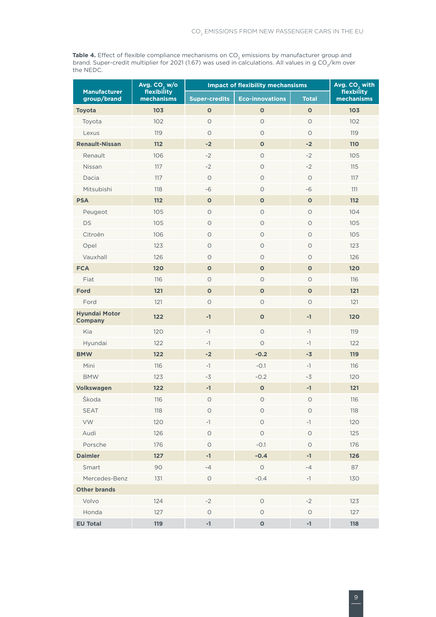**Table 4.** Effect of flexible compliance mechanisms on CO<sub>2</sub> emissions by manufacturer group and brand. Super-credit multiplier for 2021 (1.67) was used in calculations. All values in g CO $_2^{\prime}\!/$ km over the NEDC.

|                                        | Avg. $CO2 w/o$<br>flexibility | <b>Impact of flexibility mechansisms</b> | Avg. $CO2$ with |              |                          |  |
|----------------------------------------|-------------------------------|------------------------------------------|-----------------|--------------|--------------------------|--|
| <b>Manufacturer</b><br>group/brand     | mechanisms                    | Super-credits<br><b>Eco-innovations</b>  |                 | <b>Total</b> | flexbility<br>mechanisms |  |
| <b>Toyota</b>                          | 103                           | $\mathbf 0$                              | $\mathbf{o}$    | $\mathbf{o}$ | 103                      |  |
| Toyota                                 | 102                           | $\circ$                                  | $\circ$         | $\circ$      | 102                      |  |
| Lexus                                  | 119                           | $\circ$                                  | $\circ$         | $\circ$      | 119                      |  |
| <b>Renault-Nissan</b>                  | 112                           | $-2$                                     | $\mathbf{o}$    | $-2$         | <b>110</b>               |  |
| Renault                                | 106                           | $-2$                                     | $\bigcirc$      | $-2$         | 105                      |  |
| Nissan                                 | 117                           | $-2$                                     | $\circ$         | $-2$         | 115                      |  |
| Dacia                                  | 117                           | $\bigcirc$                               | $\bigcirc$      | $\circ$      | 117                      |  |
| Mitsubishi                             | 118                           | $-6$                                     | $\circ$         | $-6$         | 111                      |  |
| <b>PSA</b>                             | 112                           | $\mathbf 0$                              | $\mathbf 0$     | $\mathbf 0$  | 112                      |  |
| Peugeot                                | 105                           | $\bigcirc$                               | $\circ$         | $\circ$      | 104                      |  |
| <b>DS</b>                              | 105                           | $\circ$                                  | $\circ$         | $\circ$      | 105                      |  |
| Citroën                                | 106                           | $\circ$                                  | $\bigcirc$      | $\circ$      | 105                      |  |
| Opel                                   | 123                           | $\bigcirc$                               | $\circ$         | $\circ$      | 123                      |  |
| Vauxhall                               | 126                           | $\circ$                                  | $\circ$         | O            | 126                      |  |
| <b>FCA</b>                             | 120                           | $\mathbf{o}$                             | $\mathbf{o}$    | $\mathbf{o}$ | 120                      |  |
| Fiat                                   | 116                           | $\circ$                                  | $\circ$         | $\circ$      | 116                      |  |
| <b>Ford</b>                            | 121                           | $\bullet$                                | $\bullet$       | $\mathbf 0$  | 121                      |  |
| Ford                                   | 121                           | $\circ$                                  | $\circ$         | $\circ$      | 121                      |  |
| <b>Hyundai Motor</b><br><b>Company</b> | 122                           | $-1$                                     | $\mathbf 0$     | $-1$         | 120                      |  |
| Kia                                    | 120                           | $-1$                                     | $\circ$         | $-1$         | 119                      |  |
| Hyundai                                | 122                           | $-1$                                     | $\circ$         | $-1$         | 122                      |  |
| <b>BMW</b>                             | 122                           | $-2$                                     | $-0.2$          | $-3$         | 119                      |  |
| Mini                                   | 116                           | $-1$                                     | $-0.1$          | $-1$         | 116                      |  |
| <b>BMW</b>                             | 123                           | $-3$                                     | $-0.2$          | $-3$         | 120                      |  |
| <b>Volkswagen</b>                      | 122                           | $-1$                                     | $\mathbf{o}$    | $-1$         | 121                      |  |
| Škoda                                  | 116                           | $\bigcirc$                               | $\bigcirc$      | $\bigcirc$   | 116                      |  |
| <b>SEAT</b>                            | 118                           | O                                        | 0               | O            | 118                      |  |
| VW                                     | 120                           | $-1$                                     | $\bigcirc$      | $-1$         | 120                      |  |
| Audi                                   | 126                           | $\bigcirc$                               | $\bigcirc$      | $\bigcirc$   | 125                      |  |
| Porsche                                | 176                           | $\bigcirc$                               | $-0.1$          | $\circ$      | 176                      |  |
| <b>Daimler</b>                         | 127                           | $-1$                                     | $-0.4$          | $-1$         | 126                      |  |
| Smart                                  | 90                            | $-4$                                     | $\bigcirc$      | $-4$         | 87                       |  |
| Mercedes-Benz                          | 131                           | $\circ$                                  | $-0.4$          | $-1$         | 130                      |  |
| <b>Other brands</b>                    |                               |                                          |                 |              |                          |  |
| Volvo                                  | 124                           | $-2$                                     | $\bigcirc$      | $-2$         | 123                      |  |
| Honda                                  | 127                           | O                                        | $\bigcirc$      | $\circ$      | 127                      |  |
| <b>EU Total</b>                        | 119                           | $-1$                                     | $\mathbf 0$     | $-1$         | 118                      |  |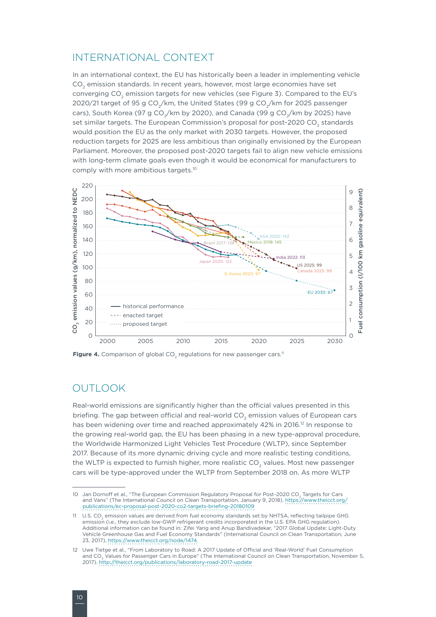#### INTERNATIONAL CONTEXT

In an international context, the EU has historically been a leader in implementing vehicle CO<sub>2</sub> emission standards. In recent years, however, most large economies have set converging CO<sub>2</sub> emission targets for new vehicles (see Figure 3). Compared to the EU's 2020/21 target of 95 g CO<sub>2</sub>/km, the United States (99 g CO<sub>2</sub>/km for 2025 passenger cars), South Korea (97 g CO<sub>2</sub>/km by 2020), and Canada (99 g CO<sub>2</sub>/km by 2025) have set similar targets. The European Commission's proposal for post-2020 CO<sub>2</sub> standards would position the EU as the only market with 2030 targets. However, the proposed reduction targets for 2025 are less ambitious than originally envisioned by the European Parliament. Moreover, the proposed post-2020 targets fail to align new vehicle emissions with long-term climate goals even though it would be economical for manufacturers to comply with more ambitious targets.<sup>10</sup>



**Figure 4.** Comparison of global CO<sub>2</sub> regulations for new passenger cars.<sup>11</sup>

## OUTLOOK

Real-world emissions are significantly higher than the official values presented in this briefing. The gap between official and real-world  $CO<sub>2</sub>$  emission values of European cars has been widening over time and reached approximately 42% in 2016.<sup>12</sup> In response to the growing real-world gap, the EU has been phasing in a new type-approval procedure, the Worldwide Harmonized Light Vehicles Test Procedure (WLTP), since September 2017. Because of its more dynamic driving cycle and more realistic testing conditions, the WLTP is expected to furnish higher, more realistic CO<sub>2</sub> values. Most new passenger cars will be type-approved under the WLTP from September 2018 on. As more WLTP

<sup>10</sup> Jan Dornoff et al., "The European Commission Regulatory Proposal for Post-2020 CO. Targets for Cars and Vans" (The International Council on Clean Transportation, January 9, 2018). [https://www.theicct.org/](https://www.theicct.org/publications/ec-proposal-post-2020-co2-targets-briefing-20180109) [publications/ec-proposal-post-2020-co2-targets-briefing-20180109](https://www.theicct.org/publications/ec-proposal-post-2020-co2-targets-briefing-20180109)

<sup>11</sup> U.S. CO<sub>2</sub> emission values are derived from fuel economy standards set by NHTSA, reflecting tailpipe GHG emission (i.e., they exclude low-GWP refrigerant credits incorporated in the U.S. EPA GHG regulation). Additional information can be found in: Zifei Yang and Anup Bandivadekar, "2017 Global Update: Light-Duty Vehicle Greenhouse Gas and Fuel Economy Standards" (International Council on Clean Transportation, June 23, 2017), [https://www.theicct.org/node/1474.](https://www.theicct.org/node/1474)

<sup>12</sup> Uwe Tietge et al., "From Laboratory to Road: A 2017 Update of Official and 'Real-World' Fuel Consumption and CO<sub>2</sub> Values for Passenger Cars in Europe" (The International Council on Clean Transportation, November 5, 2017).<http://theicct.org/publications/laboratory-road-2017-update>